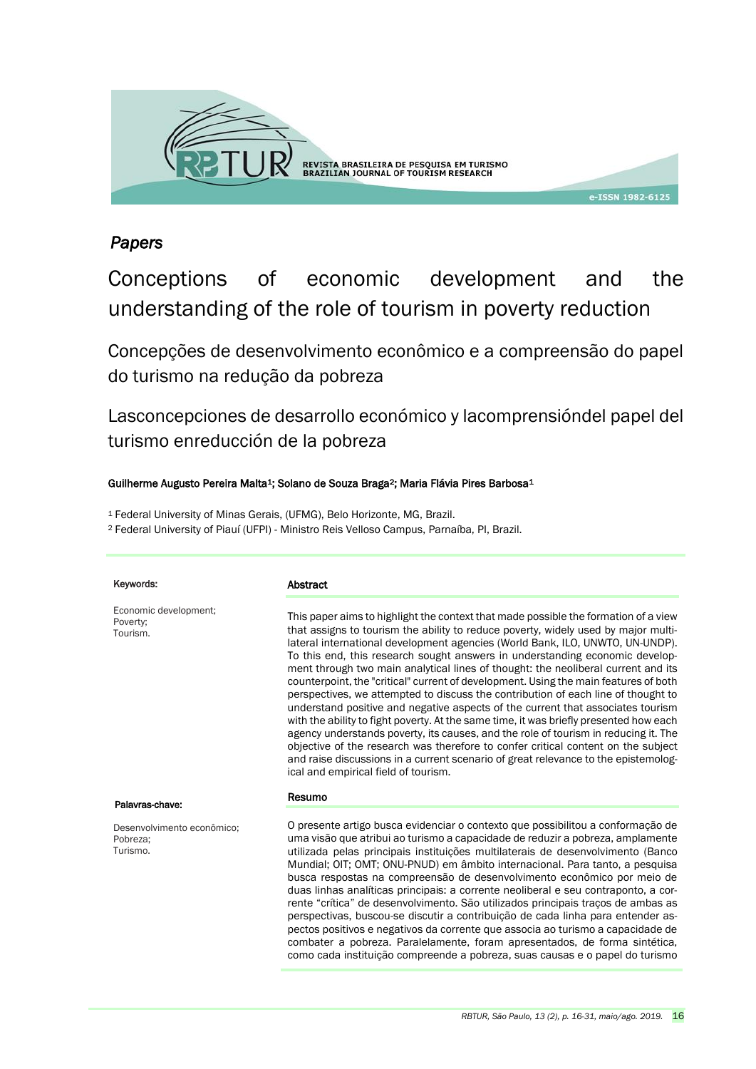

## *Papers*

# Conceptions of economic development and the understanding of the role of tourism in poverty reduction

Concepções de desenvolvimento econômico e a compreensão do papel do turismo na redução da pobreza

Lasconcepciones de desarrollo económico y lacomprensióndel papel del turismo enreducción de la pobreza

#### Guilherme Augusto Pereira Malta<sup>1</sup>; Solano de Souza Braga<sup>2</sup>; Maria Flávia Pires Barbosa<sup>1</sup>

<sup>1</sup> Federal University of Minas Gerais, (UFMG), Belo Horizonte, MG, Brazil.

<sup>2</sup> Federal University of Piauí (UFPI) - Ministro Reis Velloso Campus, Parnaíba, PI, Brazil.

| Keywords:                                          | Abstract                                                                                                                                                                                                                                                                                                                                                                                                                                                                                                                                                                                                                                                                                                                                                                                                                                                                                                                                                                                                                                                                                            |
|----------------------------------------------------|-----------------------------------------------------------------------------------------------------------------------------------------------------------------------------------------------------------------------------------------------------------------------------------------------------------------------------------------------------------------------------------------------------------------------------------------------------------------------------------------------------------------------------------------------------------------------------------------------------------------------------------------------------------------------------------------------------------------------------------------------------------------------------------------------------------------------------------------------------------------------------------------------------------------------------------------------------------------------------------------------------------------------------------------------------------------------------------------------------|
| Economic development;<br>Poverty;<br>Tourism.      | This paper aims to highlight the context that made possible the formation of a view<br>that assigns to tourism the ability to reduce poverty, widely used by major multi-<br>lateral international development agencies (World Bank, ILO, UNWTO, UN-UNDP).<br>To this end, this research sought answers in understanding economic develop-<br>ment through two main analytical lines of thought: the neoliberal current and its<br>counterpoint, the "critical" current of development. Using the main features of both<br>perspectives, we attempted to discuss the contribution of each line of thought to<br>understand positive and negative aspects of the current that associates tourism<br>with the ability to fight poverty. At the same time, it was briefly presented how each<br>agency understands poverty, its causes, and the role of tourism in reducing it. The<br>objective of the research was therefore to confer critical content on the subject<br>and raise discussions in a current scenario of great relevance to the epistemolog-<br>ical and empirical field of tourism. |
| Palavras-chave:                                    | Resumo                                                                                                                                                                                                                                                                                                                                                                                                                                                                                                                                                                                                                                                                                                                                                                                                                                                                                                                                                                                                                                                                                              |
| Desenvolvimento econômico;<br>Pobreza:<br>Turismo. | O presente artigo busca evidenciar o contexto que possibilitou a conformação de<br>uma visão que atribui ao turismo a capacidade de reduzir a pobreza, amplamente<br>utilizada pelas principais instituições multilaterais de desenvolvimento (Banco<br>Mundial; OIT; OMT; ONU-PNUD) em âmbito internacional. Para tanto, a pesquisa<br>busca respostas na compreensão de desenvolvimento econômico por meio de<br>duas linhas analíticas principais: a corrente neoliberal e seu contraponto, a cor-<br>rente "crítica" de desenvolvimento. São utilizados principais tracos de ambas as<br>perspectivas, buscou-se discutir a contribuição de cada linha para entender as-<br>pectos positivos e negativos da corrente que associa ao turismo a capacidade de<br>combater a pobreza. Paralelamente, foram apresentados, de forma sintética,<br>como cada instituição compreende a pobreza, suas causas e o papel do turismo                                                                                                                                                                       |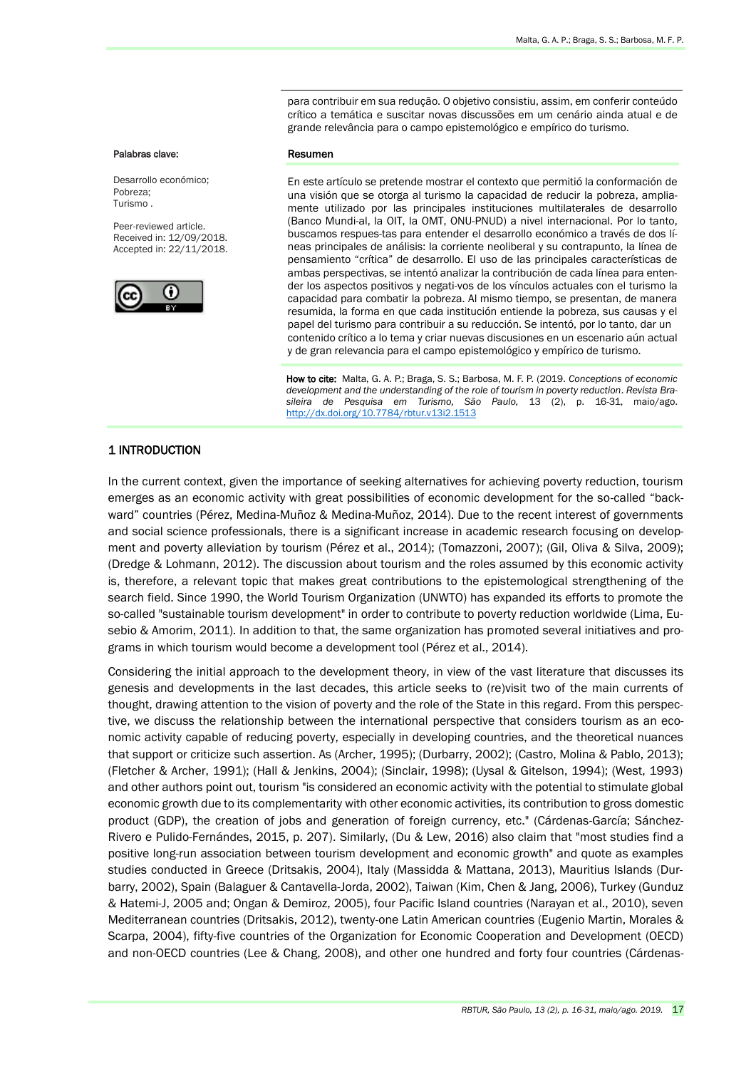para contribuir em sua redução. O objetivo consistiu, assim, em conferir conteúdo crítico a temática e suscitar novas discussões em um cenário ainda atual e de grande relevância para o campo epistemológico e empírico do turismo.

#### Palabras clave:

Desarrollo económico; Pobreza; Turismo .

Peer-reviewed article. Received in: 12/09/2018. Accepted in: 22/11/2018.



#### Resumen

En este artículo se pretende mostrar el contexto que permitió la conformación de una visión que se otorga al turismo la capacidad de reducir la pobreza, ampliamente utilizado por las principales instituciones multilaterales de desarrollo (Banco Mundi-al, la OIT, la OMT, ONU-PNUD) a nivel internacional. Por lo tanto, buscamos respues-tas para entender el desarrollo económico a través de dos líneas principales de análisis: la corriente neoliberal y su contrapunto, la línea de pensamiento "crítica" de desarrollo. El uso de las principales características de ambas perspectivas, se intentó analizar la contribución de cada línea para entender los aspectos positivos y negati-vos de los vínculos actuales con el turismo la capacidad para combatir la pobreza. Al mismo tiempo, se presentan, de manera resumida, la forma en que cada institución entiende la pobreza, sus causas y el papel del turismo para contribuir a su reducción. Se intentó, por lo tanto, dar un contenido crítico a lo tema y criar nuevas discusiones en un escenario aún actual y de gran relevancia para el campo epistemológico y empírico de turismo.

 How to cite: Malta, G. A. P.; Braga, S. S.; Barbosa, M. F. P. (2019. *Conceptions of economic development and the understanding of the role of tourism in poverty reduction*. *Revista Brasileira de Pesquisa em Turismo, São Paulo,* 13 (2), p. 16-31, maio/ago. <http://dx.doi.org/10.7784/rbtur.v13i2.1513>

#### 1 INTRODUCTION

In the current context, given the importance of seeking alternatives for achieving poverty reduction, tourism emerges as an economic activity with great possibilities of economic development for the so-called "backward" countries (Pérez, Medina-Muñoz & Medina-Muñoz, 2014). Due to the recent interest of governments and social science professionals, there is a significant increase in academic research focusing on development and poverty alleviation by tourism (Pérez et al., 2014); (Tomazzoni, 2007); (Gil, Oliva & Silva, 2009); (Dredge & Lohmann, 2012). The discussion about tourism and the roles assumed by this economic activity is, therefore, a relevant topic that makes great contributions to the epistemological strengthening of the search field. Since 1990, the World Tourism Organization (UNWTO) has expanded its efforts to promote the so-called "sustainable tourism development" in order to contribute to poverty reduction worldwide (Lima, Eusebio & Amorim, 2011). In addition to that, the same organization has promoted several initiatives and programs in which tourism would become a development tool (Pérez et al., 2014).

Considering the initial approach to the development theory, in view of the vast literature that discusses its genesis and developments in the last decades, this article seeks to (re)visit two of the main currents of thought, drawing attention to the vision of poverty and the role of the State in this regard. From this perspective, we discuss the relationship between the international perspective that considers tourism as an economic activity capable of reducing poverty, especially in developing countries, and the theoretical nuances that support or criticize such assertion. As (Archer, 1995); (Durbarry, 2002); (Castro, Molina & Pablo, 2013); (Fletcher & Archer, 1991); (Hall & Jenkins, 2004); (Sinclair, 1998); (Uysal & Gitelson, 1994); (West, 1993) and other authors point out, tourism "is considered an economic activity with the potential to stimulate global economic growth due to its complementarity with other economic activities, its contribution to gross domestic product (GDP), the creation of jobs and generation of foreign currency, etc." (Cárdenas-García; Sánchez-Rivero e Pulido-Fernándes, 2015, p. 207). Similarly, (Du & Lew, 2016) also claim that "most studies find a positive long-run association between tourism development and economic growth" and quote as examples studies conducted in Greece (Dritsakis, 2004), Italy (Massidda & Mattana, 2013), Mauritius Islands (Durbarry, 2002), Spain (Balaguer & Cantavella-Jorda, 2002), Taiwan (Kim, Chen & Jang, 2006), Turkey (Gunduz & Hatemi-J, 2005 and; Ongan & Demiroz, 2005), four Pacific Island countries (Narayan et al., 2010), seven Mediterranean countries (Dritsakis, 2012), twenty-one Latin American countries (Eugenio Martin, Morales & Scarpa, 2004), fifty-five countries of the Organization for Economic Cooperation and Development (OECD) and non-OECD countries (Lee & Chang, 2008), and other one hundred and forty four countries (Cárdenas-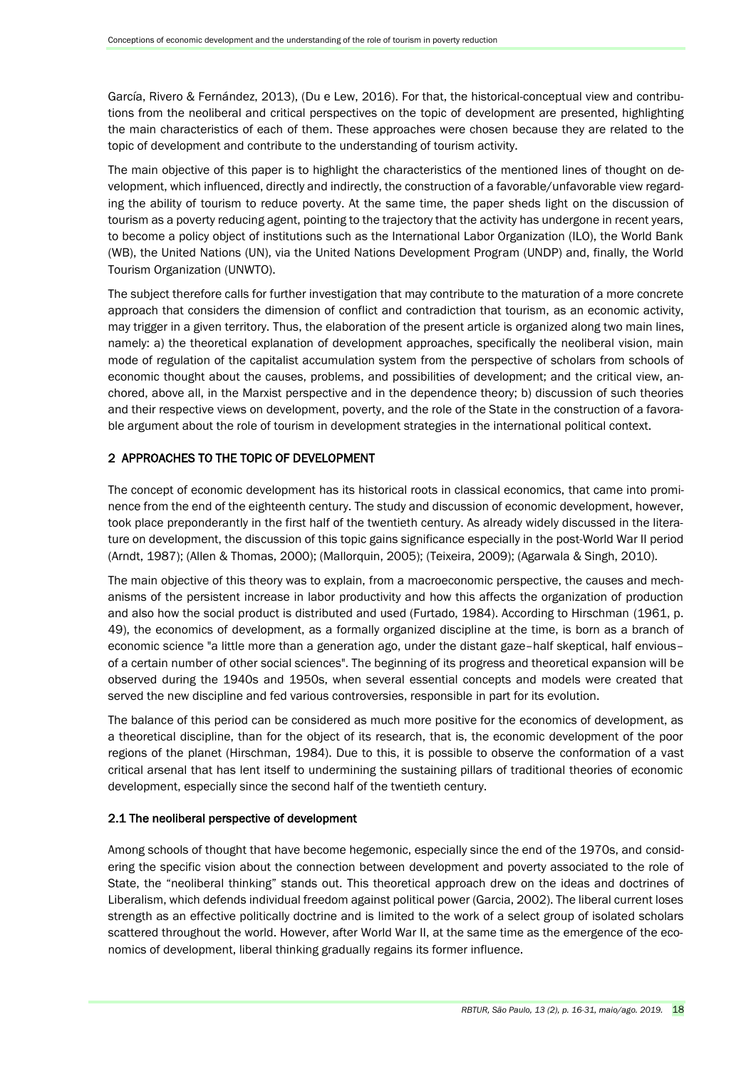García, Rivero & Fernández, 2013), (Du e Lew, 2016). For that, the historical-conceptual view and contributions from the neoliberal and critical perspectives on the topic of development are presented, highlighting the main characteristics of each of them. These approaches were chosen because they are related to the topic of development and contribute to the understanding of tourism activity.

The main objective of this paper is to highlight the characteristics of the mentioned lines of thought on development, which influenced, directly and indirectly, the construction of a favorable/unfavorable view regarding the ability of tourism to reduce poverty. At the same time, the paper sheds light on the discussion of tourism as a poverty reducing agent, pointing to the trajectory that the activity has undergone in recent years, to become a policy object of institutions such as the International Labor Organization (ILO), the World Bank (WB), the United Nations (UN), via the United Nations Development Program (UNDP) and, finally, the World Tourism Organization (UNWTO).

The subject therefore calls for further investigation that may contribute to the maturation of a more concrete approach that considers the dimension of conflict and contradiction that tourism, as an economic activity, may trigger in a given territory. Thus, the elaboration of the present article is organized along two main lines, namely: a) the theoretical explanation of development approaches, specifically the neoliberal vision, main mode of regulation of the capitalist accumulation system from the perspective of scholars from schools of economic thought about the causes, problems, and possibilities of development; and the critical view, anchored, above all, in the Marxist perspective and in the dependence theory; b) discussion of such theories and their respective views on development, poverty, and the role of the State in the construction of a favorable argument about the role of tourism in development strategies in the international political context.

#### 2 APPROACHES TO THE TOPIC OF DEVELOPMENT

The concept of economic development has its historical roots in classical economics, that came into prominence from the end of the eighteenth century. The study and discussion of economic development, however, took place preponderantly in the first half of the twentieth century. As already widely discussed in the literature on development, the discussion of this topic gains significance especially in the post-World War II period (Arndt, 1987); (Allen & Thomas, 2000); (Mallorquin, 2005); (Teixeira, 2009); (Agarwala & Singh, 2010).

The main objective of this theory was to explain, from a macroeconomic perspective, the causes and mechanisms of the persistent increase in labor productivity and how this affects the organization of production and also how the social product is distributed and used (Furtado, 1984). According to Hirschman (1961, p. 49), the economics of development, as a formally organized discipline at the time, is born as a branch of economic science "a little more than a generation ago, under the distant gaze–half skeptical, half envious– of a certain number of other social sciences". The beginning of its progress and theoretical expansion will be observed during the 1940s and 1950s, when several essential concepts and models were created that served the new discipline and fed various controversies, responsible in part for its evolution.

The balance of this period can be considered as much more positive for the economics of development, as a theoretical discipline, than for the object of its research, that is, the economic development of the poor regions of the planet (Hirschman, 1984). Due to this, it is possible to observe the conformation of a vast critical arsenal that has lent itself to undermining the sustaining pillars of traditional theories of economic development, especially since the second half of the twentieth century.

#### 2.1 The neoliberal perspective of development

Among schools of thought that have become hegemonic, especially since the end of the 1970s, and considering the specific vision about the connection between development and poverty associated to the role of State, the "neoliberal thinking" stands out. This theoretical approach drew on the ideas and doctrines of Liberalism, which defends individual freedom against political power (Garcia, 2002). The liberal current loses strength as an effective politically doctrine and is limited to the work of a select group of isolated scholars scattered throughout the world. However, after World War II, at the same time as the emergence of the economics of development, liberal thinking gradually regains its former influence.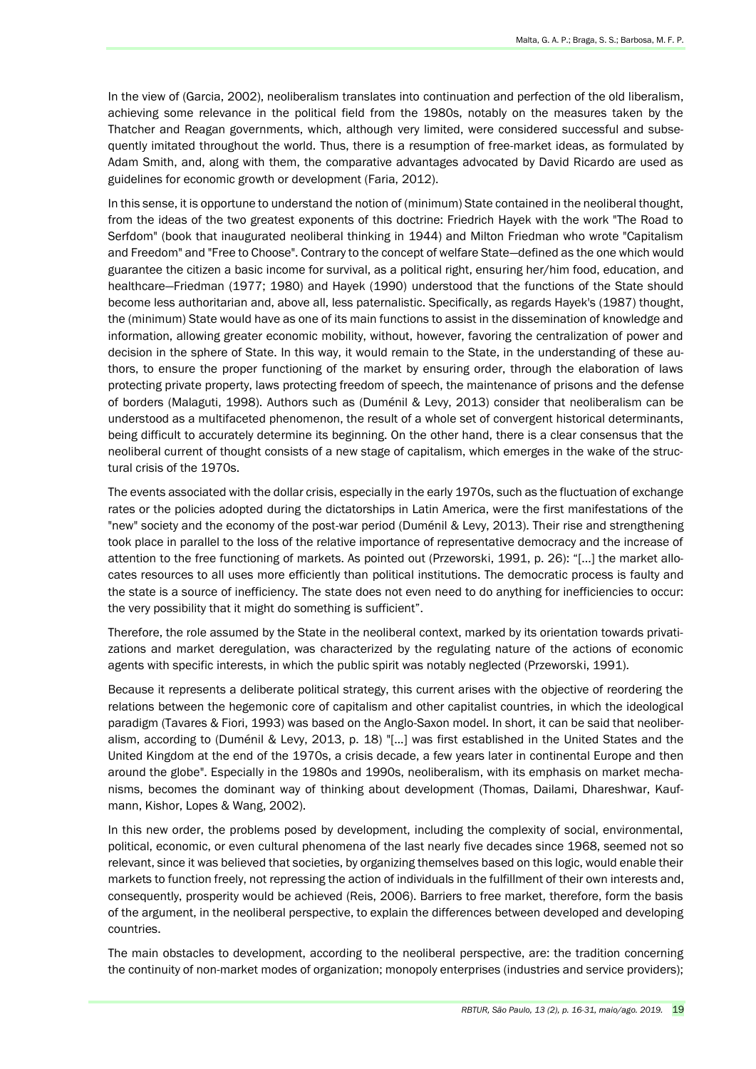In the view of (Garcia, 2002), neoliberalism translates into continuation and perfection of the old liberalism, achieving some relevance in the political field from the 1980s, notably on the measures taken by the Thatcher and Reagan governments, which, although very limited, were considered successful and subsequently imitated throughout the world. Thus, there is a resumption of free-market ideas, as formulated by Adam Smith, and, along with them, the comparative advantages advocated by David Ricardo are used as guidelines for economic growth or development (Faria, 2012).

In this sense, it is opportune to understand the notion of (minimum) State contained in the neoliberal thought, from the ideas of the two greatest exponents of this doctrine: Friedrich Hayek with the work "The Road to Serfdom" (book that inaugurated neoliberal thinking in 1944) and Milton Friedman who wrote "Capitalism and Freedom" and "Free to Choose". Contrary to the concept of welfare State—defined as the one which would guarantee the citizen a basic income for survival, as a political right, ensuring her/him food, education, and healthcare—Friedman (1977; 1980) and Hayek (1990) understood that the functions of the State should become less authoritarian and, above all, less paternalistic. Specifically, as regards Hayek's (1987) thought, the (minimum) State would have as one of its main functions to assist in the dissemination of knowledge and information, allowing greater economic mobility, without, however, favoring the centralization of power and decision in the sphere of State. In this way, it would remain to the State, in the understanding of these authors, to ensure the proper functioning of the market by ensuring order, through the elaboration of laws protecting private property, laws protecting freedom of speech, the maintenance of prisons and the defense of borders (Malaguti, 1998). Authors such as (Duménil & Levy, 2013) consider that neoliberalism can be understood as a multifaceted phenomenon, the result of a whole set of convergent historical determinants, being difficult to accurately determine its beginning. On the other hand, there is a clear consensus that the neoliberal current of thought consists of a new stage of capitalism, which emerges in the wake of the structural crisis of the 1970s.

The events associated with the dollar crisis, especially in the early 1970s, such as the fluctuation of exchange rates or the policies adopted during the dictatorships in Latin America, were the first manifestations of the "new" society and the economy of the post-war period (Duménil & Levy, 2013). Their rise and strengthening took place in parallel to the loss of the relative importance of representative democracy and the increase of attention to the free functioning of markets. As pointed out (Przeworski, 1991, p. 26): "[...] the market allocates resources to all uses more efficiently than political institutions. The democratic process is faulty and the state is a source of inefficiency. The state does not even need to do anything for inefficiencies to occur: the very possibility that it might do something is sufficient".

Therefore, the role assumed by the State in the neoliberal context, marked by its orientation towards privatizations and market deregulation, was characterized by the regulating nature of the actions of economic agents with specific interests, in which the public spirit was notably neglected (Przeworski, 1991).

Because it represents a deliberate political strategy, this current arises with the objective of reordering the relations between the hegemonic core of capitalism and other capitalist countries, in which the ideological paradigm (Tavares & Fiori, 1993) was based on the Anglo-Saxon model. In short, it can be said that neoliberalism, according to (Duménil & Levy, 2013, p. 18) "[…] was first established in the United States and the United Kingdom at the end of the 1970s, a crisis decade, a few years later in continental Europe and then around the globe". Especially in the 1980s and 1990s, neoliberalism, with its emphasis on market mechanisms, becomes the dominant way of thinking about development (Thomas, Dailami, Dhareshwar, Kaufmann, Kishor, Lopes & Wang, 2002).

In this new order, the problems posed by development, including the complexity of social, environmental, political, economic, or even cultural phenomena of the last nearly five decades since 1968, seemed not so relevant, since it was believed that societies, by organizing themselves based on this logic, would enable their markets to function freely, not repressing the action of individuals in the fulfillment of their own interests and, consequently, prosperity would be achieved (Reis, 2006). Barriers to free market, therefore, form the basis of the argument, in the neoliberal perspective, to explain the differences between developed and developing countries.

The main obstacles to development, according to the neoliberal perspective, are: the tradition concerning the continuity of non-market modes of organization; monopoly enterprises (industries and service providers);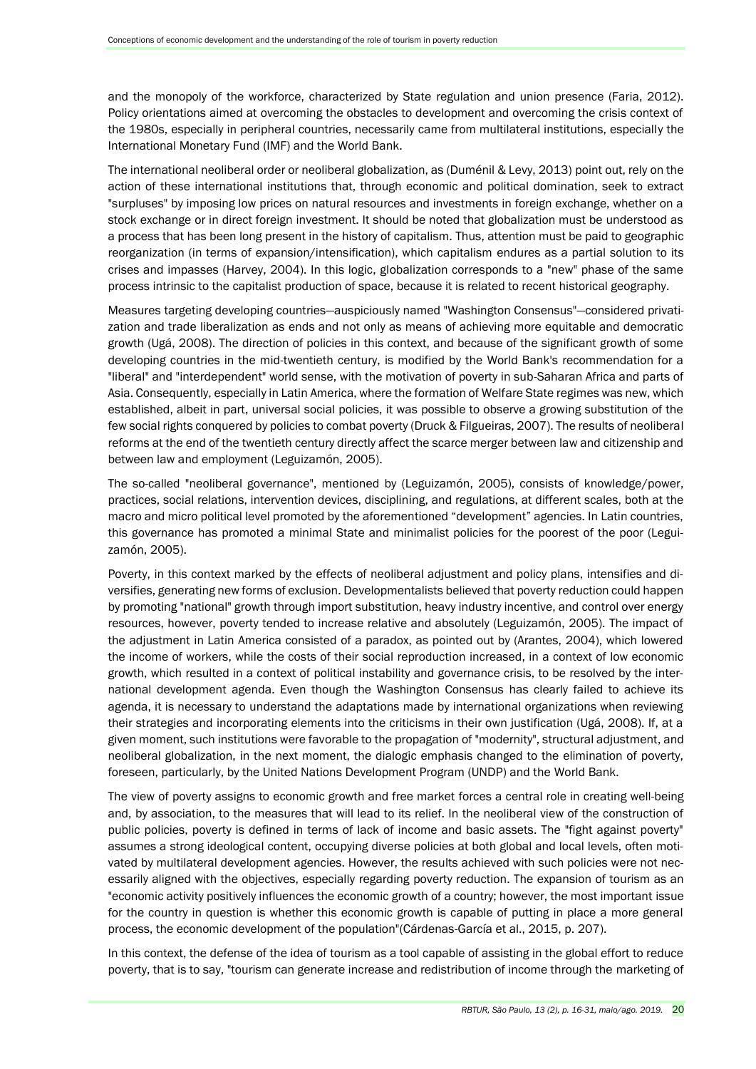and the monopoly of the workforce, characterized by State regulation and union presence (Faria, 2012). Policy orientations aimed at overcoming the obstacles to development and overcoming the crisis context of the 1980s, especially in peripheral countries, necessarily came from multilateral institutions, especially the International Monetary Fund (IMF) and the World Bank.

The international neoliberal order or neoliberal globalization, as (Duménil & Levy, 2013) point out, rely on the action of these international institutions that, through economic and political domination, seek to extract "surpluses" by imposing low prices on natural resources and investments in foreign exchange, whether on a stock exchange or in direct foreign investment. It should be noted that globalization must be understood as a process that has been long present in the history of capitalism. Thus, attention must be paid to geographic reorganization (in terms of expansion/intensification), which capitalism endures as a partial solution to its crises and impasses (Harvey, 2004). In this logic, globalization corresponds to a "new" phase of the same process intrinsic to the capitalist production of space, because it is related to recent historical geography.

Measures targeting developing countries—auspiciously named "Washington Consensus"—considered privatization and trade liberalization as ends and not only as means of achieving more equitable and democratic growth (Ugá, 2008). The direction of policies in this context, and because of the significant growth of some developing countries in the mid-twentieth century, is modified by the World Bank's recommendation for a "liberal" and "interdependent" world sense, with the motivation of poverty in sub-Saharan Africa and parts of Asia. Consequently, especially in Latin America, where the formation of Welfare State regimes was new, which established, albeit in part, universal social policies, it was possible to observe a growing substitution of the few social rights conquered by policies to combat poverty (Druck & Filgueiras, 2007). The results of neoliberal reforms at the end of the twentieth century directly affect the scarce merger between law and citizenship and between law and employment (Leguizamón, 2005).

The so-called "neoliberal governance", mentioned by (Leguizamón, 2005), consists of knowledge/power, practices, social relations, intervention devices, disciplining, and regulations, at different scales, both at the macro and micro political level promoted by the aforementioned "development" agencies. In Latin countries, this governance has promoted a minimal State and minimalist policies for the poorest of the poor (Leguizamón, 2005).

Poverty, in this context marked by the effects of neoliberal adjustment and policy plans, intensifies and diversifies, generating new forms of exclusion. Developmentalists believed that poverty reduction could happen by promoting "national" growth through import substitution, heavy industry incentive, and control over energy resources, however, poverty tended to increase relative and absolutely (Leguizamón, 2005). The impact of the adjustment in Latin America consisted of a paradox, as pointed out by (Arantes, 2004), which lowered the income of workers, while the costs of their social reproduction increased, in a context of low economic growth, which resulted in a context of political instability and governance crisis, to be resolved by the international development agenda. Even though the Washington Consensus has clearly failed to achieve its agenda, it is necessary to understand the adaptations made by international organizations when reviewing their strategies and incorporating elements into the criticisms in their own justification (Ugá, 2008). If, at a given moment, such institutions were favorable to the propagation of "modernity", structural adjustment, and neoliberal globalization, in the next moment, the dialogic emphasis changed to the elimination of poverty, foreseen, particularly, by the United Nations Development Program (UNDP) and the World Bank.

The view of poverty assigns to economic growth and free market forces a central role in creating well-being and, by association, to the measures that will lead to its relief. In the neoliberal view of the construction of public policies, poverty is defined in terms of lack of income and basic assets. The "fight against poverty" assumes a strong ideological content, occupying diverse policies at both global and local levels, often motivated by multilateral development agencies. However, the results achieved with such policies were not necessarily aligned with the objectives, especially regarding poverty reduction. The expansion of tourism as an "economic activity positively influences the economic growth of a country; however, the most important issue for the country in question is whether this economic growth is capable of putting in place a more general process, the economic development of the population"(Cárdenas-García et al., 2015, p. 207).

In this context, the defense of the idea of tourism as a tool capable of assisting in the global effort to reduce poverty, that is to say, "tourism can generate increase and redistribution of income through the marketing of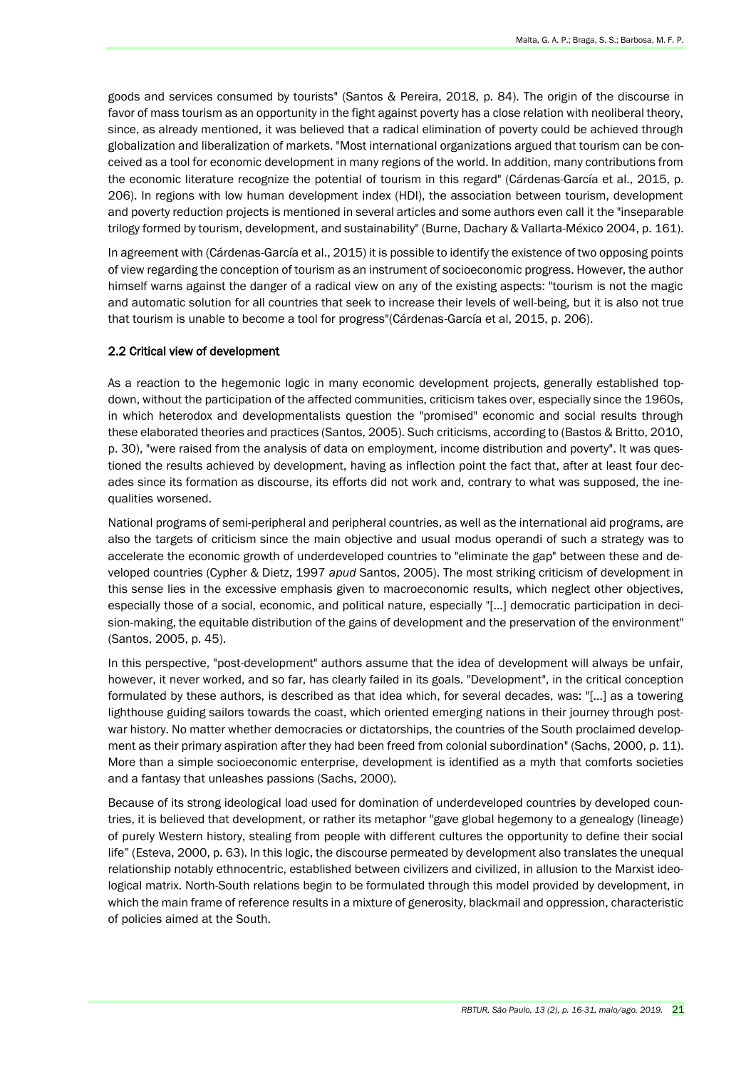goods and services consumed by tourists" (Santos & Pereira, 2018, p. 84). The origin of the discourse in favor of mass tourism as an opportunity in the fight against poverty has a close relation with neoliberal theory, since, as already mentioned, it was believed that a radical elimination of poverty could be achieved through globalization and liberalization of markets. "Most international organizations argued that tourism can be conceived as a tool for economic development in many regions of the world. In addition, many contributions from the economic literature recognize the potential of tourism in this regard" (Cárdenas-García et al., 2015, p. 206). In regions with low human development index (HDI), the association between tourism, development and poverty reduction projects is mentioned in several articles and some authors even call it the "inseparable trilogy formed by tourism, development, and sustainability" (Burne, Dachary & Vallarta-México 2004, p. 161).

In agreement with (Cárdenas-García et al., 2015) it is possible to identify the existence of two opposing points of view regarding the conception of tourism as an instrument of socioeconomic progress. However, the author himself warns against the danger of a radical view on any of the existing aspects: "tourism is not the magic and automatic solution for all countries that seek to increase their levels of well-being, but it is also not true that tourism is unable to become a tool for progress"(Cárdenas-García et al, 2015, p. 206).

#### 2.2 Critical view of development

As a reaction to the hegemonic logic in many economic development projects, generally established topdown, without the participation of the affected communities, criticism takes over, especially since the 1960s, in which heterodox and developmentalists question the "promised" economic and social results through these elaborated theories and practices (Santos, 2005). Such criticisms, according to (Bastos & Britto, 2010, p. 30), "were raised from the analysis of data on employment, income distribution and poverty". It was questioned the results achieved by development, having as inflection point the fact that, after at least four decades since its formation as discourse, its efforts did not work and, contrary to what was supposed, the inequalities worsened.

National programs of semi-peripheral and peripheral countries, as well as the international aid programs, are also the targets of criticism since the main objective and usual modus operandi of such a strategy was to accelerate the economic growth of underdeveloped countries to "eliminate the gap" between these and developed countries (Cypher & Dietz, 1997 *apud* Santos, 2005). The most striking criticism of development in this sense lies in the excessive emphasis given to macroeconomic results, which neglect other objectives, especially those of a social, economic, and political nature, especially "[...] democratic participation in decision-making, the equitable distribution of the gains of development and the preservation of the environment" (Santos, 2005, p. 45).

In this perspective, "post-development" authors assume that the idea of development will always be unfair, however, it never worked, and so far, has clearly failed in its goals. "Development", in the critical conception formulated by these authors, is described as that idea which, for several decades, was: "[...] as a towering lighthouse guiding sailors towards the coast, which oriented emerging nations in their journey through postwar history. No matter whether democracies or dictatorships, the countries of the South proclaimed development as their primary aspiration after they had been freed from colonial subordination" (Sachs, 2000, p. 11). More than a simple socioeconomic enterprise, development is identified as a myth that comforts societies and a fantasy that unleashes passions (Sachs, 2000).

Because of its strong ideological load used for domination of underdeveloped countries by developed countries, it is believed that development, or rather its metaphor "gave global hegemony to a genealogy (lineage) of purely Western history, stealing from people with different cultures the opportunity to define their social life" (Esteva, 2000, p. 63). In this logic, the discourse permeated by development also translates the unequal relationship notably ethnocentric, established between civilizers and civilized, in allusion to the Marxist ideological matrix. North-South relations begin to be formulated through this model provided by development, in which the main frame of reference results in a mixture of generosity, blackmail and oppression, characteristic of policies aimed at the South.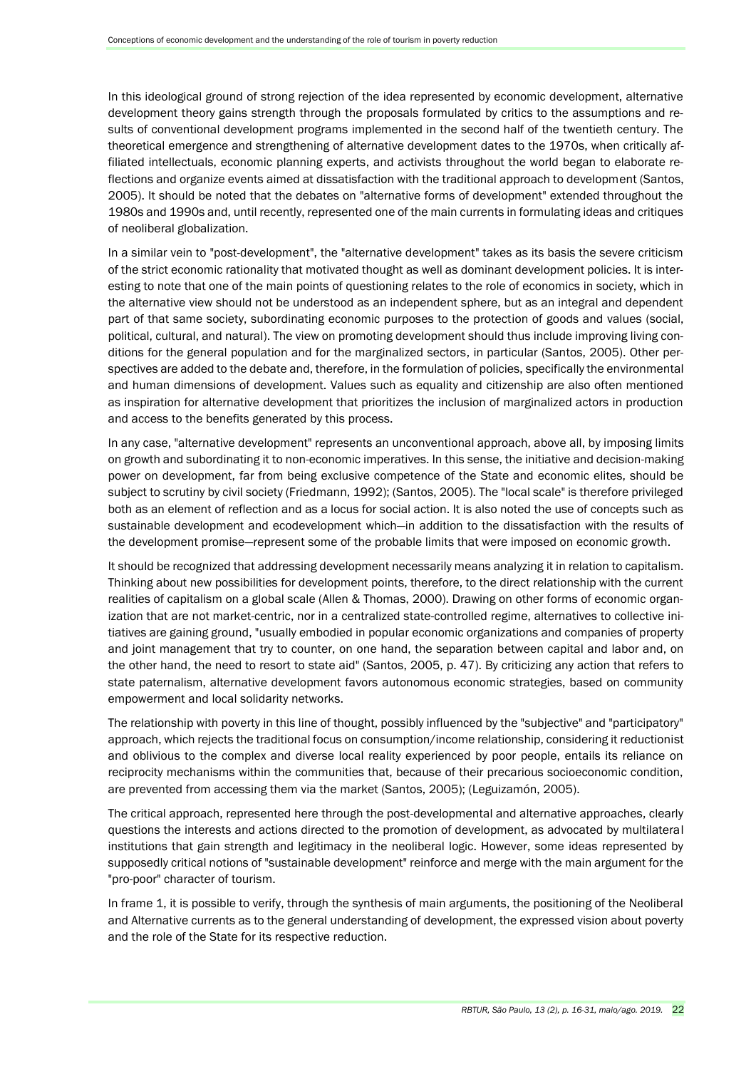In this ideological ground of strong rejection of the idea represented by economic development, alternative development theory gains strength through the proposals formulated by critics to the assumptions and results of conventional development programs implemented in the second half of the twentieth century. The theoretical emergence and strengthening of alternative development dates to the 1970s, when critically affiliated intellectuals, economic planning experts, and activists throughout the world began to elaborate reflections and organize events aimed at dissatisfaction with the traditional approach to development (Santos, 2005). It should be noted that the debates on "alternative forms of development" extended throughout the 1980s and 1990s and, until recently, represented one of the main currents in formulating ideas and critiques of neoliberal globalization.

In a similar vein to "post-development", the "alternative development" takes as its basis the severe criticism of the strict economic rationality that motivated thought as well as dominant development policies. It is interesting to note that one of the main points of questioning relates to the role of economics in society, which in the alternative view should not be understood as an independent sphere, but as an integral and dependent part of that same society, subordinating economic purposes to the protection of goods and values (social, political, cultural, and natural). The view on promoting development should thus include improving living conditions for the general population and for the marginalized sectors, in particular (Santos, 2005). Other perspectives are added to the debate and, therefore, in the formulation of policies, specifically the environmental and human dimensions of development. Values such as equality and citizenship are also often mentioned as inspiration for alternative development that prioritizes the inclusion of marginalized actors in production and access to the benefits generated by this process.

In any case, "alternative development" represents an unconventional approach, above all, by imposing limits on growth and subordinating it to non-economic imperatives. In this sense, the initiative and decision-making power on development, far from being exclusive competence of the State and economic elites, should be subject to scrutiny by civil society (Friedmann, 1992); (Santos, 2005). The "local scale" is therefore privileged both as an element of reflection and as a locus for social action. It is also noted the use of concepts such as sustainable development and ecodevelopment which—in addition to the dissatisfaction with the results of the development promise—represent some of the probable limits that were imposed on economic growth.

It should be recognized that addressing development necessarily means analyzing it in relation to capitalism. Thinking about new possibilities for development points, therefore, to the direct relationship with the current realities of capitalism on a global scale (Allen & Thomas, 2000). Drawing on other forms of economic organization that are not market-centric, nor in a centralized state-controlled regime, alternatives to collective initiatives are gaining ground, "usually embodied in popular economic organizations and companies of property and joint management that try to counter, on one hand, the separation between capital and labor and, on the other hand, the need to resort to state aid" (Santos, 2005, p. 47). By criticizing any action that refers to state paternalism, alternative development favors autonomous economic strategies, based on community empowerment and local solidarity networks.

The relationship with poverty in this line of thought, possibly influenced by the "subjective" and "participatory" approach, which rejects the traditional focus on consumption/income relationship, considering it reductionist and oblivious to the complex and diverse local reality experienced by poor people, entails its reliance on reciprocity mechanisms within the communities that, because of their precarious socioeconomic condition, are prevented from accessing them via the market (Santos, 2005); (Leguizamón, 2005).

The critical approach, represented here through the post-developmental and alternative approaches, clearly questions the interests and actions directed to the promotion of development, as advocated by multilateral institutions that gain strength and legitimacy in the neoliberal logic. However, some ideas represented by supposedly critical notions of "sustainable development" reinforce and merge with the main argument for the "pro-poor" character of tourism.

In frame 1, it is possible to verify, through the synthesis of main arguments, the positioning of the Neoliberal and Alternative currents as to the general understanding of development, the expressed vision about poverty and the role of the State for its respective reduction.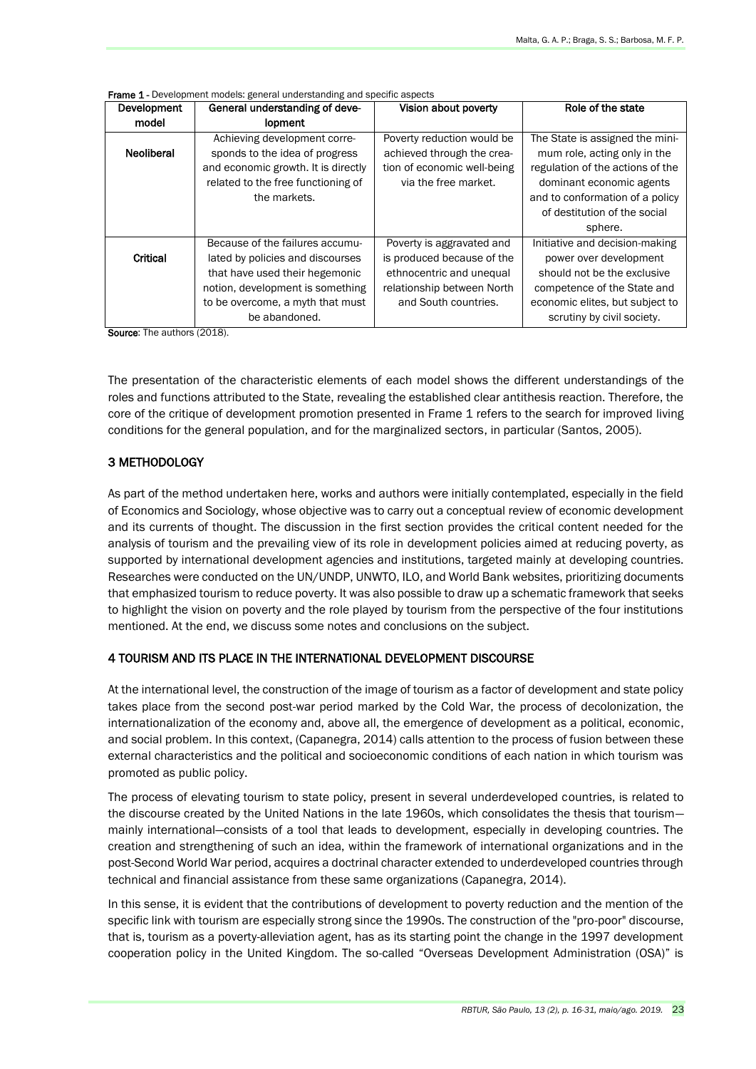| Development       | General understanding of deve-                                                                                                                              | Vision about poverty                                                                                            | Role of the state                                                                                                                                                                                             |
|-------------------|-------------------------------------------------------------------------------------------------------------------------------------------------------------|-----------------------------------------------------------------------------------------------------------------|---------------------------------------------------------------------------------------------------------------------------------------------------------------------------------------------------------------|
| model             | <b>lopment</b>                                                                                                                                              |                                                                                                                 |                                                                                                                                                                                                               |
| <b>Neoliberal</b> | Achieving development corre-<br>sponds to the idea of progress<br>and economic growth. It is directly<br>related to the free functioning of<br>the markets. | Poverty reduction would be<br>achieved through the crea-<br>tion of economic well-being<br>via the free market. | The State is assigned the mini-<br>mum role, acting only in the<br>regulation of the actions of the<br>dominant economic agents<br>and to conformation of a policy<br>of destitution of the social<br>sphere. |
|                   | Because of the failures accumu-                                                                                                                             | Poverty is aggravated and                                                                                       | Initiative and decision-making                                                                                                                                                                                |
| Critical          | lated by policies and discourses<br>that have used their hegemonic<br>notion, development is something<br>to be overcome, a myth that must<br>be abandoned. | is produced because of the<br>ethnocentric and unequal<br>relationship between North<br>and South countries.    | power over development<br>should not be the exclusive<br>competence of the State and<br>economic elites, but subject to<br>scrutiny by civil society.                                                         |

Frame 1 - Development models: general understanding and specific aspects

Source: The authors (2018).

The presentation of the characteristic elements of each model shows the different understandings of the roles and functions attributed to the State, revealing the established clear antithesis reaction. Therefore, the core of the critique of development promotion presented in Frame 1 refers to the search for improved living conditions for the general population, and for the marginalized sectors, in particular (Santos, 2005).

#### 3 METHODOLOGY

As part of the method undertaken here, works and authors were initially contemplated, especially in the field of Economics and Sociology, whose objective was to carry out a conceptual review of economic development and its currents of thought. The discussion in the first section provides the critical content needed for the analysis of tourism and the prevailing view of its role in development policies aimed at reducing poverty, as supported by international development agencies and institutions, targeted mainly at developing countries. Researches were conducted on the UN/UNDP, UNWTO, ILO, and World Bank websites, prioritizing documents that emphasized tourism to reduce poverty. It was also possible to draw up a schematic framework that seeks to highlight the vision on poverty and the role played by tourism from the perspective of the four institutions mentioned. At the end, we discuss some notes and conclusions on the subject.

## 4 TOURISM AND ITS PLACE IN THE INTERNATIONAL DEVELOPMENT DISCOURSE

At the international level, the construction of the image of tourism as a factor of development and state policy takes place from the second post-war period marked by the Cold War, the process of decolonization, the internationalization of the economy and, above all, the emergence of development as a political, economic, and social problem. In this context, (Capanegra, 2014) calls attention to the process of fusion between these external characteristics and the political and socioeconomic conditions of each nation in which tourism was promoted as public policy.

The process of elevating tourism to state policy, present in several underdeveloped countries, is related to the discourse created by the United Nations in the late 1960s, which consolidates the thesis that tourism mainly international—consists of a tool that leads to development, especially in developing countries. The creation and strengthening of such an idea, within the framework of international organizations and in the post-Second World War period, acquires a doctrinal character extended to underdeveloped countries through technical and financial assistance from these same organizations (Capanegra, 2014).

In this sense, it is evident that the contributions of development to poverty reduction and the mention of the specific link with tourism are especially strong since the 1990s. The construction of the "pro-poor" discourse, that is, tourism as a poverty-alleviation agent, has as its starting point the change in the 1997 development cooperation policy in the United Kingdom. The so-called "Overseas Development Administration (OSA)" is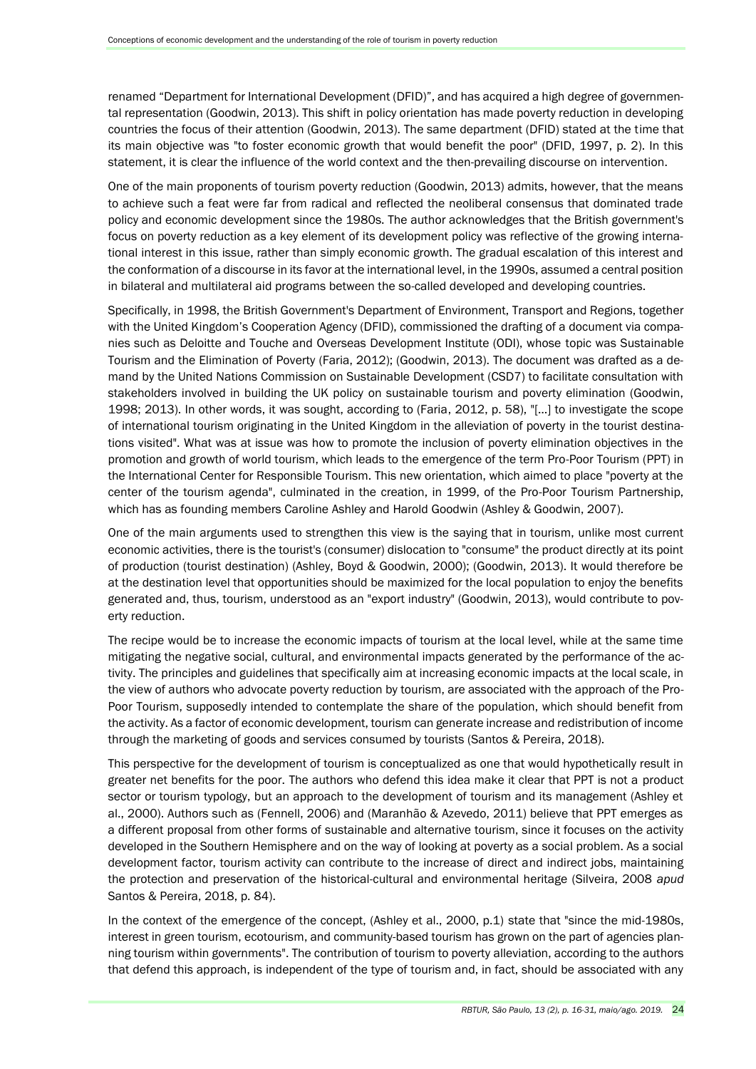renamed "Department for International Development (DFID)", and has acquired a high degree of governmental representation (Goodwin, 2013). This shift in policy orientation has made poverty reduction in developing countries the focus of their attention (Goodwin, 2013). The same department (DFID) stated at the time that its main objective was "to foster economic growth that would benefit the poor" (DFID, 1997, p. 2). In this statement, it is clear the influence of the world context and the then-prevailing discourse on intervention.

One of the main proponents of tourism poverty reduction (Goodwin, 2013) admits, however, that the means to achieve such a feat were far from radical and reflected the neoliberal consensus that dominated trade policy and economic development since the 1980s. The author acknowledges that the British government's focus on poverty reduction as a key element of its development policy was reflective of the growing international interest in this issue, rather than simply economic growth. The gradual escalation of this interest and the conformation of a discourse in its favor at the international level, in the 1990s, assumed a central position in bilateral and multilateral aid programs between the so-called developed and developing countries.

Specifically, in 1998, the British Government's Department of Environment, Transport and Regions, together with the United Kingdom's Cooperation Agency (DFID), commissioned the drafting of a document via companies such as Deloitte and Touche and Overseas Development Institute (ODI), whose topic was Sustainable Tourism and the Elimination of Poverty (Faria, 2012); (Goodwin, 2013). The document was drafted as a demand by the United Nations Commission on Sustainable Development (CSD7) to facilitate consultation with stakeholders involved in building the UK policy on sustainable tourism and poverty elimination (Goodwin, 1998; 2013). In other words, it was sought, according to (Faria, 2012, p. 58), "[…] to investigate the scope of international tourism originating in the United Kingdom in the alleviation of poverty in the tourist destinations visited". What was at issue was how to promote the inclusion of poverty elimination objectives in the promotion and growth of world tourism, which leads to the emergence of the term Pro-Poor Tourism (PPT) in the International Center for Responsible Tourism. This new orientation, which aimed to place "poverty at the center of the tourism agenda", culminated in the creation, in 1999, of the Pro-Poor Tourism Partnership, which has as founding members Caroline Ashley and Harold Goodwin (Ashley & Goodwin, 2007).

One of the main arguments used to strengthen this view is the saying that in tourism, unlike most current economic activities, there is the tourist's (consumer) dislocation to "consume" the product directly at its point of production (tourist destination) (Ashley, Boyd & Goodwin, 2000); (Goodwin, 2013). It would therefore be at the destination level that opportunities should be maximized for the local population to enjoy the benefits generated and, thus, tourism, understood as an "export industry" (Goodwin, 2013), would contribute to poverty reduction.

The recipe would be to increase the economic impacts of tourism at the local level, while at the same time mitigating the negative social, cultural, and environmental impacts generated by the performance of the activity. The principles and guidelines that specifically aim at increasing economic impacts at the local scale, in the view of authors who advocate poverty reduction by tourism, are associated with the approach of the Pro-Poor Tourism, supposedly intended to contemplate the share of the population, which should benefit from the activity. As a factor of economic development, tourism can generate increase and redistribution of income through the marketing of goods and services consumed by tourists (Santos & Pereira, 2018).

This perspective for the development of tourism is conceptualized as one that would hypothetically result in greater net benefits for the poor. The authors who defend this idea make it clear that PPT is not a product sector or tourism typology, but an approach to the development of tourism and its management (Ashley et al., 2000). Authors such as (Fennell, 2006) and (Maranhão & Azevedo, 2011) believe that PPT emerges as a different proposal from other forms of sustainable and alternative tourism, since it focuses on the activity developed in the Southern Hemisphere and on the way of looking at poverty as a social problem. As a social development factor, tourism activity can contribute to the increase of direct and indirect jobs, maintaining the protection and preservation of the historical-cultural and environmental heritage (Silveira, 2008 *apud* Santos & Pereira, 2018, p. 84).

In the context of the emergence of the concept, (Ashley et al., 2000, p.1) state that "since the mid-1980s, interest in green tourism, ecotourism, and community-based tourism has grown on the part of agencies planning tourism within governments". The contribution of tourism to poverty alleviation, according to the authors that defend this approach, is independent of the type of tourism and, in fact, should be associated with any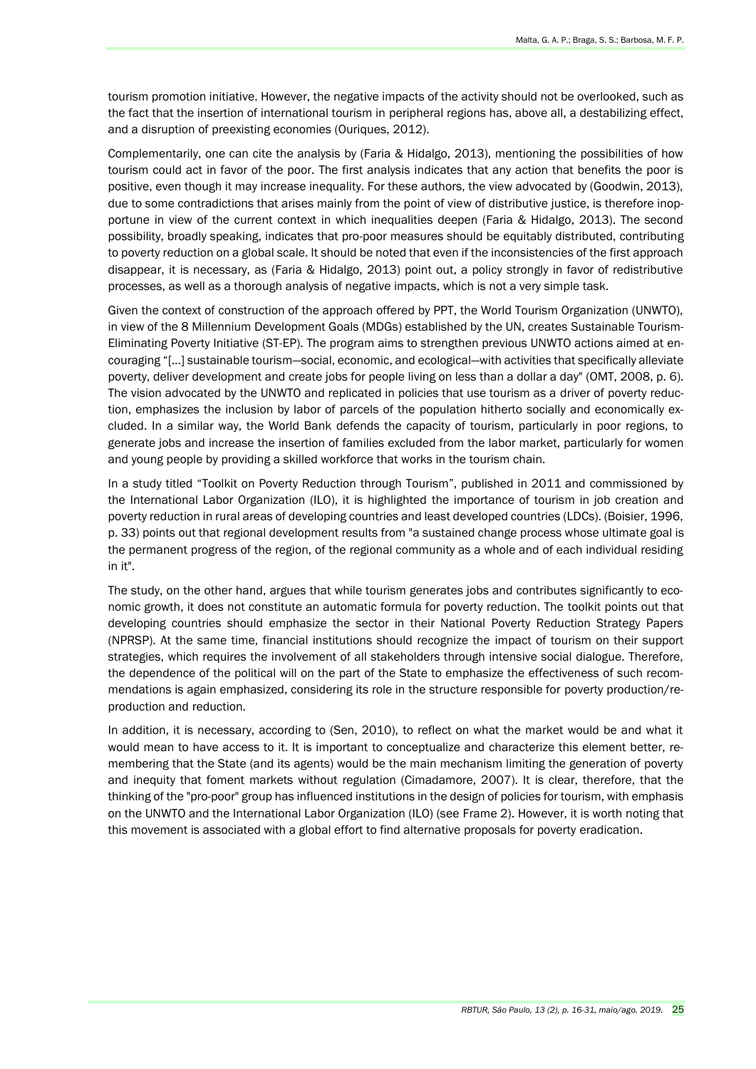tourism promotion initiative. However, the negative impacts of the activity should not be overlooked, such as the fact that the insertion of international tourism in peripheral regions has, above all, a destabilizing effect, and a disruption of preexisting economies (Ouriques, 2012).

Complementarily, one can cite the analysis by (Faria & Hidalgo, 2013), mentioning the possibilities of how tourism could act in favor of the poor. The first analysis indicates that any action that benefits the poor is positive, even though it may increase inequality. For these authors, the view advocated by (Goodwin, 2013), due to some contradictions that arises mainly from the point of view of distributive justice, is therefore inopportune in view of the current context in which inequalities deepen (Faria & Hidalgo, 2013). The second possibility, broadly speaking, indicates that pro-poor measures should be equitably distributed, contributing to poverty reduction on a global scale. It should be noted that even if the inconsistencies of the first approach disappear, it is necessary, as (Faria & Hidalgo, 2013) point out, a policy strongly in favor of redistributive processes, as well as a thorough analysis of negative impacts, which is not a very simple task.

Given the context of construction of the approach offered by PPT, the World Tourism Organization (UNWTO), in view of the 8 Millennium Development Goals (MDGs) established by the UN, creates Sustainable Tourism-Eliminating Poverty Initiative (ST-EP). The program aims to strengthen previous UNWTO actions aimed at encouraging "[…] sustainable tourism—social, economic, and ecological—with activities that specifically alleviate poverty, deliver development and create jobs for people living on less than a dollar a day" (OMT, 2008, p. 6). The vision advocated by the UNWTO and replicated in policies that use tourism as a driver of poverty reduction, emphasizes the inclusion by labor of parcels of the population hitherto socially and economically excluded. In a similar way, the World Bank defends the capacity of tourism, particularly in poor regions, to generate jobs and increase the insertion of families excluded from the labor market, particularly for women and young people by providing a skilled workforce that works in the tourism chain.

In a study titled "Toolkit on Poverty Reduction through Tourism", published in 2011 and commissioned by the International Labor Organization (ILO), it is highlighted the importance of tourism in job creation and poverty reduction in rural areas of developing countries and least developed countries (LDCs). (Boisier, 1996, p. 33) points out that regional development results from "a sustained change process whose ultimate goal is the permanent progress of the region, of the regional community as a whole and of each individual residing in it".

The study, on the other hand, argues that while tourism generates jobs and contributes significantly to economic growth, it does not constitute an automatic formula for poverty reduction. The toolkit points out that developing countries should emphasize the sector in their National Poverty Reduction Strategy Papers (NPRSP). At the same time, financial institutions should recognize the impact of tourism on their support strategies, which requires the involvement of all stakeholders through intensive social dialogue. Therefore, the dependence of the political will on the part of the State to emphasize the effectiveness of such recommendations is again emphasized, considering its role in the structure responsible for poverty production/reproduction and reduction.

In addition, it is necessary, according to (Sen, 2010), to reflect on what the market would be and what it would mean to have access to it. It is important to conceptualize and characterize this element better, remembering that the State (and its agents) would be the main mechanism limiting the generation of poverty and inequity that foment markets without regulation (Cimadamore, 2007). It is clear, therefore, that the thinking of the "pro-poor" group has influenced institutions in the design of policies for tourism, with emphasis on the UNWTO and the International Labor Organization (ILO) (see Frame 2). However, it is worth noting that this movement is associated with a global effort to find alternative proposals for poverty eradication.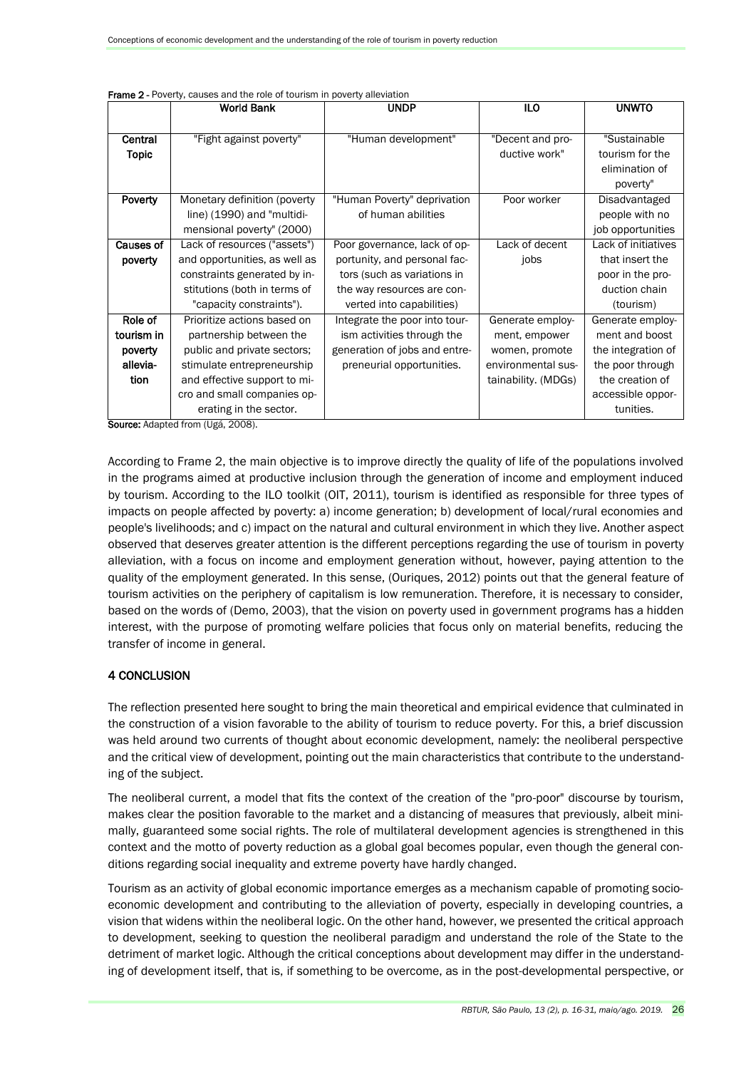|              | <b>World Bank</b>                                                | <b>UNDP</b>                   | <b>ILO</b>          | <b>UNWTO</b>        |
|--------------|------------------------------------------------------------------|-------------------------------|---------------------|---------------------|
|              |                                                                  |                               |                     |                     |
| Central      | "Fight against poverty"                                          | "Human development"           | "Decent and pro-    | "Sustainable        |
| <b>Topic</b> |                                                                  |                               | ductive work"       | tourism for the     |
|              |                                                                  |                               |                     | elimination of      |
|              |                                                                  |                               |                     | poverty"            |
| Poverty      | Monetary definition (poverty                                     | "Human Poverty" deprivation   | Poor worker         | Disadvantaged       |
|              | line) (1990) and "multidi-                                       | of human abilities            |                     | people with no      |
|              | mensional poverty" (2000)                                        |                               |                     | job opportunities   |
| Causes of    | Lack of resources ("assets")                                     | Poor governance, lack of op-  | Lack of decent      | Lack of initiatives |
| poverty      | and opportunities, as well as                                    | portunity, and personal fac-  | jobs                | that insert the     |
|              | constraints generated by in-                                     | tors (such as variations in   |                     | poor in the pro-    |
|              | stitutions (both in terms of                                     | the way resources are con-    |                     | duction chain       |
|              | "capacity constraints").                                         | verted into capabilities)     |                     | (tourism)           |
| Role of      | Prioritize actions based on                                      | Integrate the poor into tour- | Generate employ-    | Generate employ-    |
| tourism in   | partnership between the                                          | ism activities through the    | ment, empower       | ment and boost      |
| poverty      | public and private sectors;                                      | generation of jobs and entre- | women, promote      | the integration of  |
| allevia-     | stimulate entrepreneurship                                       | preneurial opportunities.     | environmental sus-  | the poor through    |
| tion         | and effective support to mi-                                     |                               | tainability. (MDGs) | the creation of     |
|              | cro and small companies op-                                      |                               |                     | accessible oppor-   |
|              | erating in the sector.<br><b>Course: Adopted from (Ugó 2009)</b> |                               |                     | tunities.           |

| <b>Frame 2 -</b> Poverty, causes and the role of tourism in poverty alleviation |  |  |
|---------------------------------------------------------------------------------|--|--|
|---------------------------------------------------------------------------------|--|--|

Source: Adapted from (Ugá, 2008).

According to Frame 2, the main objective is to improve directly the quality of life of the populations involved in the programs aimed at productive inclusion through the generation of income and employment induced by tourism. According to the ILO toolkit (OIT, 2011), tourism is identified as responsible for three types of impacts on people affected by poverty: a) income generation; b) development of local/rural economies and people's livelihoods; and c) impact on the natural and cultural environment in which they live. Another aspect observed that deserves greater attention is the different perceptions regarding the use of tourism in poverty alleviation, with a focus on income and employment generation without, however, paying attention to the quality of the employment generated. In this sense, (Ouriques, 2012) points out that the general feature of tourism activities on the periphery of capitalism is low remuneration. Therefore, it is necessary to consider, based on the words of (Demo, 2003), that the vision on poverty used in government programs has a hidden interest, with the purpose of promoting welfare policies that focus only on material benefits, reducing the transfer of income in general.

## 4 CONCLUSION

The reflection presented here sought to bring the main theoretical and empirical evidence that culminated in the construction of a vision favorable to the ability of tourism to reduce poverty. For this, a brief discussion was held around two currents of thought about economic development, namely: the neoliberal perspective and the critical view of development, pointing out the main characteristics that contribute to the understanding of the subject.

The neoliberal current, a model that fits the context of the creation of the "pro-poor" discourse by tourism, makes clear the position favorable to the market and a distancing of measures that previously, albeit minimally, guaranteed some social rights. The role of multilateral development agencies is strengthened in this context and the motto of poverty reduction as a global goal becomes popular, even though the general conditions regarding social inequality and extreme poverty have hardly changed.

Tourism as an activity of global economic importance emerges as a mechanism capable of promoting socioeconomic development and contributing to the alleviation of poverty, especially in developing countries, a vision that widens within the neoliberal logic. On the other hand, however, we presented the critical approach to development, seeking to question the neoliberal paradigm and understand the role of the State to the detriment of market logic. Although the critical conceptions about development may differ in the understanding of development itself, that is, if something to be overcome, as in the post-developmental perspective, or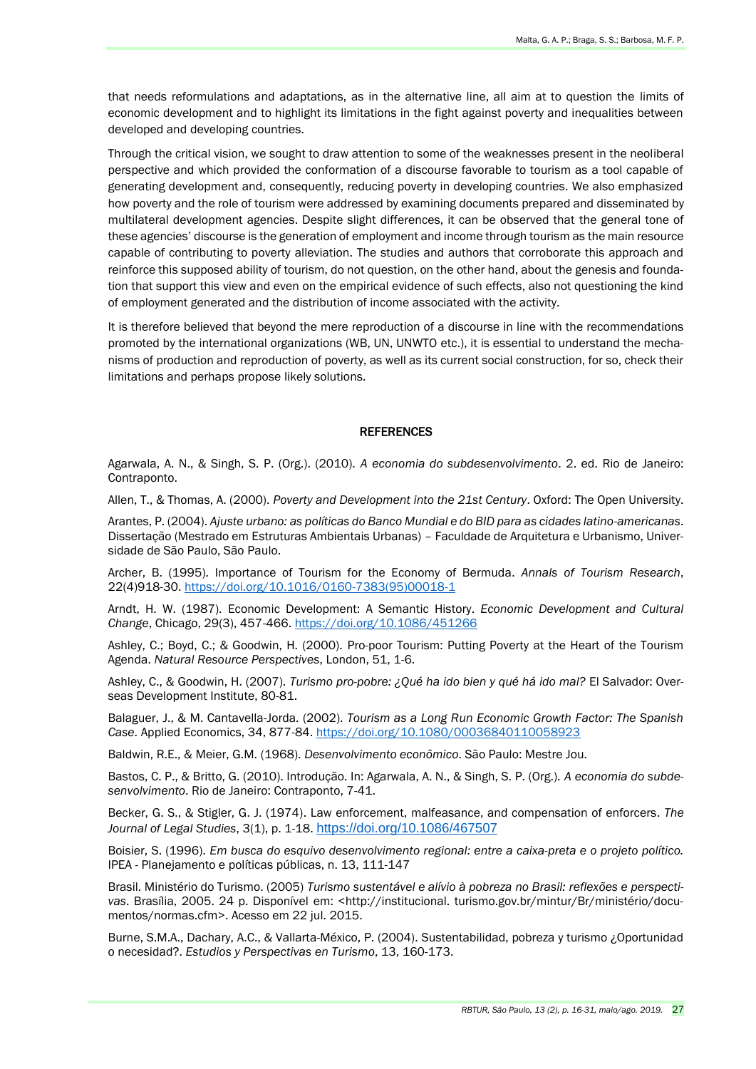that needs reformulations and adaptations, as in the alternative line, all aim at to question the limits of economic development and to highlight its limitations in the fight against poverty and inequalities between developed and developing countries.

Through the critical vision, we sought to draw attention to some of the weaknesses present in the neoliberal perspective and which provided the conformation of a discourse favorable to tourism as a tool capable of generating development and, consequently, reducing poverty in developing countries. We also emphasized how poverty and the role of tourism were addressed by examining documents prepared and disseminated by multilateral development agencies. Despite slight differences, it can be observed that the general tone of these agencies' discourse is the generation of employment and income through tourism as the main resource capable of contributing to poverty alleviation. The studies and authors that corroborate this approach and reinforce this supposed ability of tourism, do not question, on the other hand, about the genesis and foundation that support this view and even on the empirical evidence of such effects, also not questioning the kind of employment generated and the distribution of income associated with the activity.

It is therefore believed that beyond the mere reproduction of a discourse in line with the recommendations promoted by the international organizations (WB, UN, UNWTO etc.), it is essential to understand the mechanisms of production and reproduction of poverty, as well as its current social construction, for so, check their limitations and perhaps propose likely solutions.

#### **REFERENCES**

Agarwala, A. N., & Singh, S. P. (Org.). (2010). *A economia do subdesenvolvimento*. 2. ed. Rio de Janeiro: Contraponto.

Allen, T., & Thomas, A. (2000). *Poverty and Development into the 21st Century*. Oxford: The Open University.

Arantes, P. (2004). *Ajuste urbano: as políticas do Banco Mundial e do BID para as cidades latino-americanas*. Dissertação (Mestrado em Estruturas Ambientais Urbanas) – Faculdade de Arquitetura e Urbanismo, Universidade de São Paulo, São Paulo.

Archer, B. (1995). Importance of Tourism for the Economy of Bermuda. *Annals of Tourism Research*, 22(4)918-30. [https://doi.org/10.1016/0160-7383\(95\)00018-1](https://doi.org/10.1016/0160-7383(95)00018-1)

Arndt, H. W. (1987). Economic Development: A Semantic History. *Economic Development and Cultural Change*, Chicago, 29(3), 457-466. <https://doi.org/10.1086/451266>

Ashley, C.; Boyd, C.; & Goodwin, H. (2000). Pro-poor Tourism: Putting Poverty at the Heart of the Tourism Agenda. *Natural Resource Perspectives*, London, 51, 1-6.

Ashley, C., & Goodwin, H. (2007). *Turismo pro-pobre: ¿Qué ha ido bien y qué há ido mal?* El Salvador: Overseas Development Institute, 80-81.

Balaguer, J., & M. Cantavella-Jorda. (2002). *Tourism as a Long Run Economic Growth Factor: The Spanish Case*. Applied Economics, 34, 877-84. <https://doi.org/10.1080/00036840110058923>

Baldwin, R.E., & Meier, G.M. (1968). *Desenvolvimento econômico*. São Paulo: Mestre Jou.

Bastos, C. P., & Britto, G. (2010). Introdução. In: Agarwala, A. N., & Singh, S. P. (Org.). *A economia do subdesenvolvimento*. Rio de Janeiro: Contraponto, 7-41.

Becker, G. S., & Stigler, G. J. (1974). Law enforcement, malfeasance, and compensation of enforcers. *The Journal of Legal Studies*, 3(1), p. 1-18. <https://doi.org/10.1086/467507>

Boisier, S. (1996). *Em busca do esquivo desenvolvimento regional: entre a caixa-preta e o projeto político.*  IPEA - Planejamento e políticas públicas, n. 13, 111-147

Brasil. Ministério do Turismo. (2005) *Turismo sustentável e alívio à pobreza no Brasil: reflexões e perspectivas*. Brasília, 2005. 24 p. Disponível em: <http://institucional. turismo.gov.br/mintur/Br/ministério/documentos/normas.cfm>. Acesso em 22 jul. 2015.

Burne, S.M.A., Dachary, A.C., & Vallarta-México, P. (2004). Sustentabilidad, pobreza y turismo ¿Oportunidad o necesidad?. *Estudios y Perspectivas en Turismo*, 13, 160-173.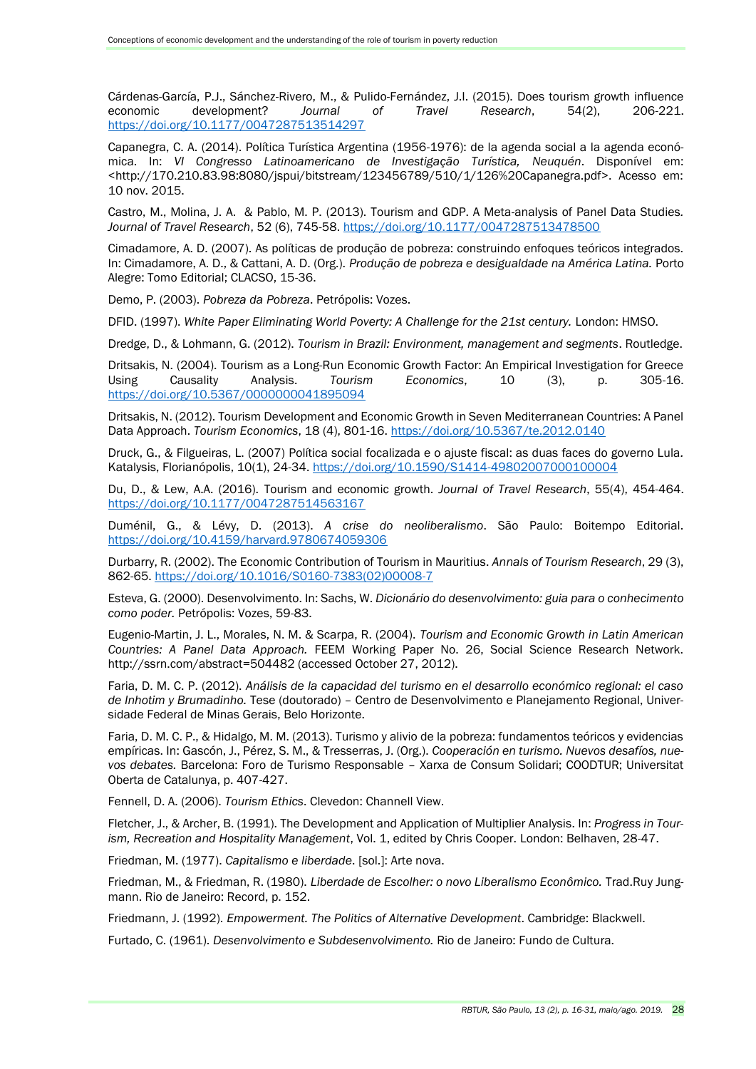Cárdenas-García, P.J., Sánchez-Rivero, M., & Pulido-Fernández, J.I. (2015). Does tourism growth influence economic development? *Journal of Travel Research*, 54(2), 206-221. <https://doi.org/10.1177/0047287513514297>

Capanegra, C. A. (2014). Política Turística Argentina (1956-1976): de la agenda social a la agenda económica. In: *VI Congresso Latinoamericano de Investigação Turística, Neuquén*. Disponível em: <http://170.210.83.98:8080/jspui/bitstream/123456789/510/1/126%20Capanegra.pdf>. Acesso em: 10 nov. 2015.

Castro, M., Molina, J. A. & Pablo, M. P. (2013). Tourism and GDP. A Meta-analysis of Panel Data Studies*. Journal of Travel Research*, 52 (6), 745-58. <https://doi.org/10.1177/0047287513478500>

Cimadamore, A. D. (2007). As políticas de produção de pobreza: construindo enfoques teóricos integrados. In: Cimadamore, A. D., & Cattani, A. D. (Org.). *Produção de pobreza e desigualdade na América Latina.* Porto Alegre: Tomo Editorial; CLACSO, 15-36.

Demo, P. (2003). *Pobreza da Pobreza*. Petrópolis: Vozes.

DFID. (1997). *White Paper Eliminating World Poverty: A Challenge for the 21st century.* London: HMSO.

Dredge, D., & Lohmann, G. (2012). *Tourism in Brazil: Environment, management and segments*. Routledge.

Dritsakis, N. (2004). Tourism as a Long-Run Economic Growth Factor: An Empirical Investigation for Greece Using Causality Analysis. *Tourism Economics*, 10 (3), p. 305-16. <https://doi.org/10.5367/0000000041895094>

Dritsakis, N. (2012). Tourism Development and Economic Growth in Seven Mediterranean Countries: A Panel Data Approach. *Tourism Economics*, 18 (4), 801-16. <https://doi.org/10.5367/te.2012.0140>

Druck, G., & Filgueiras, L. (2007) Política social focalizada e o ajuste fiscal: as duas faces do governo Lula*.*  Katalysis, Florianópolis, 10(1), 24-34. <https://doi.org/10.1590/S1414-49802007000100004>

Du, D., & Lew, A.A. (2016). Tourism and economic growth*. Journal of Travel Research*, 55(4), 454-464. <https://doi.org/10.1177/0047287514563167>

Duménil, G., & Lévy, D. (2013). *A crise do neoliberalismo*. São Paulo: Boitempo Editorial. <https://doi.org/10.4159/harvard.9780674059306>

Durbarry, R. (2002). The Economic Contribution of Tourism in Mauritius. *Annals of Tourism Research*, 29 (3), 862-65. [https://doi.org/10.1016/S0160-7383\(02\)00008-7](https://doi.org/10.1016/S0160-7383(02)00008-7)

Esteva, G. (2000). Desenvolvimento. In: Sachs, W. *Dicionário do desenvolvimento: guia para o conhecimento como poder.* Petrópolis: Vozes, 59-83.

Eugenio-Martin, J. L., Morales, N. M. & Scarpa, R. (2004). *Tourism and Economic Growth in Latin American Countries: A Panel Data Approach.* FEEM Working Paper No. 26, Social Science Research Network. http://ssrn.com/abstract=504482 (accessed October 27, 2012).

Faria, D. M. C. P. (2012). *Análisis de la capacidad del turismo en el desarrollo económico regional: el caso de Inhotim y Brumadinho.* Tese (doutorado) – Centro de Desenvolvimento e Planejamento Regional, Universidade Federal de Minas Gerais, Belo Horizonte.

Faria, D. M. C. P., & Hidalgo, M. M. (2013). Turismo y alivio de la pobreza: fundamentos teóricos y evidencias empíricas. In: Gascón, J., Pérez, S. M., & Tresserras, J. (Org.). *Cooperación en turismo. Nuevos desafíos, nuevos debates.* Barcelona: Foro de Turismo Responsable – Xarxa de Consum Solidari; COODTUR; Universitat Oberta de Catalunya, p. 407-427.

Fennell, D. A. (2006). *Tourism Ethics*. Clevedon: Channell View.

Fletcher, J., & Archer, B. (1991). The Development and Application of Multiplier Analysis. In: *Progress in Tourism, Recreation and Hospitality Management*, Vol. 1, edited by Chris Cooper. London: Belhaven, 28-47.

Friedman, M. (1977). *Capitalismo e liberdade*. [sol.]: Arte nova.

Friedman, M., & Friedman, R. (1980). *Liberdade de Escolher: o novo Liberalismo Econômico.* Trad.Ruy Jungmann. Rio de Janeiro: Record, p. 152.

Friedmann, J. (1992). *Empowerment. The Politics of Alternative Development*. Cambridge: Blackwell.

Furtado, C. (1961). *Desenvolvimento e Subdesenvolvimento.* Rio de Janeiro: Fundo de Cultura.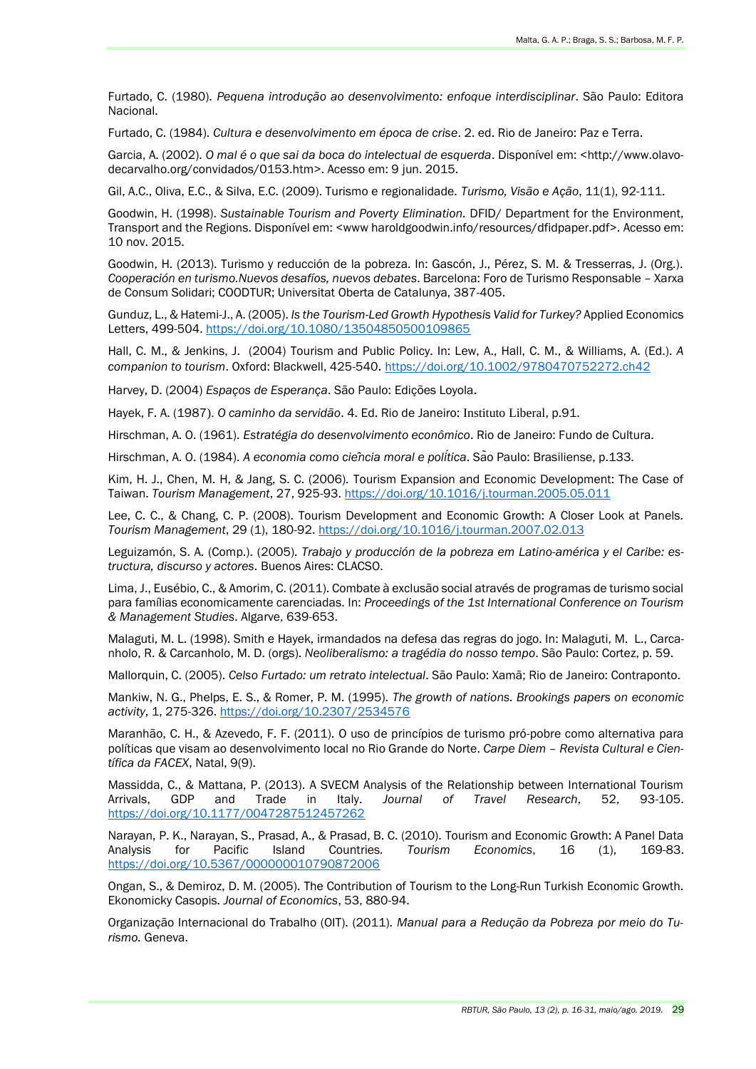Furtado, C. (1980). *Pequena introdução ao desenvolvimento: enfoque interdisciplinar*. São Paulo: Editora Nacional.

Furtado, C. (1984). *Cultura e desenvolvimento em época de crise*. 2. ed. Rio de Janeiro: Paz e Terra.

Garcia, A. (2002). *O mal é o que sai da boca do intelectual de esquerda*. Disponível em: <http://www.olavodecarvalho.org/convidados/0153.htm>. Acesso em: 9 jun. 2015.

Gil, A.C., Oliva, E.C., & Silva, E.C. (2009). Turismo e regionalidade. *Turismo, Visão e Ação*, 11(1), 92-111.

Goodwin, H. (1998). *Sustainable Tourism and Poverty Elimination.* DFID/ Department for the Environment, Transport and the Regions. Disponível em: <www haroldgoodwin.info/resources/dfidpaper.pdf>. Acesso em: 10 nov. 2015.

Goodwin, H. (2013). Turismo y reducción de la pobreza. In: Gascón, J., Pérez, S. M. & Tresserras, J. (Org.). *Cooperación en turismo.Nuevos desafíos, nuevos debates*. Barcelona: Foro de Turismo Responsable – Xarxa de Consum Solidari; COODTUR; Universitat Oberta de Catalunya, 387-405.

Gunduz, L., & Hatemi-J., A. (2005). *Is the Tourism-Led Growth Hypothesis Valid for Turkey?* Applied Economics Letters, 499-504. <https://doi.org/10.1080/13504850500109865>

Hall, C. M., & Jenkins, J. (2004) Tourism and Public Policy. In: Lew, A., Hall, C. M., & Williams, A. (Ed.). *A companion to tourism*. Oxford: Blackwell, 425-540. <https://doi.org/10.1002/9780470752272.ch42>

Harvey, D. (2004) *Espaços de Esperança*. São Paulo: Edições Loyola.

Hayek, F. A. (1987). *O caminho da servidão*. 4. Ed. Rio de Janeiro: Instituto Liberal, p.91.

Hirschman, A. O. (1961). *Estratégia do desenvolvimento econômico*. Rio de Janeiro: Fundo de Cultura.

Hirschman, A. O. (1984). *A economia como ciência moral e política*. São Paulo: Brasiliense, p.133.

Kim, H. J., Chen, M. H, & Jang, S. C. (2006). Tourism Expansion and Economic Development: The Case of Taiwan. *Tourism Management*, 27, 925-93. <https://doi.org/10.1016/j.tourman.2005.05.011>

Lee, C. C., & Chang, C. P. (2008). Tourism Development and Economic Growth: A Closer Look at Panels*. Tourism Management*, 29 (1), 180-92. <https://doi.org/10.1016/j.tourman.2007.02.013>

Leguizamón, S. A. (Comp.). (2005). *Trabajo y producción de la pobreza em Latino-américa y el Caribe: estructura, discurso y actores*. Buenos Aires: CLACSO.

Lima, J., Eusébio, C., & Amorim, C. (2011). Combate à exclusão social através de programas de turismo social para famílias economicamente carenciadas. In: *Proceedings of the 1st International Conference on Tourism & Management Studies*. Algarve, 639-653.

Malaguti, M. L. (1998). Smith e Hayek, irmandados na defesa das regras do jogo. In: Malaguti, M. L., Carcanholo, R. & Carcanholo, M. D. (orgs). *Neoliberalismo: a tragédia do nosso tempo*. São Paulo: Cortez, p. 59.

Mallorquin, C. (2005). *Celso Furtado: um retrato intelectual*. São Paulo: Xamã; Rio de Janeiro: Contraponto.

Mankiw, N. G., Phelps, E. S., & Romer, P. M. (1995). *The growth of nations. Brookings papers on economic activity*, 1, 275-326. <https://doi.org/10.2307/2534576>

Maranhão, C. H., & Azevedo, F. F. (2011). O uso de princípios de turismo pró-pobre como alternativa para políticas que visam ao desenvolvimento local no Rio Grande do Norte. *Carpe Diem – Revista Cultural e Científica da FACEX*, Natal, 9(9).

Massidda, C., & Mattana, P. (2013). A SVECM Analysis of the Relationship between International Tourism Arrivals, GDP and Trade in Italy. *Journal of Travel Research*, 52, 93-105. <https://doi.org/10.1177/0047287512457262>

Narayan, P. K., Narayan, S., Prasad, A., & Prasad, B. C. (2010). Tourism and Economic Growth: A Panel Data Analysis for Pacific Island Countries*. Tourism Economics*, 16 (1), 169-83. <https://doi.org/10.5367/000000010790872006>

Ongan, S., & Demiroz, D. M. (2005). The Contribution of Tourism to the Long-Run Turkish Economic Growth. Ekonomicky Casopis*. Journal of Economics*, 53, 880-94.

Organização Internacional do Trabalho (OIT). (2011). *Manual para a Redução da Pobreza por meio do Turismo.* Geneva.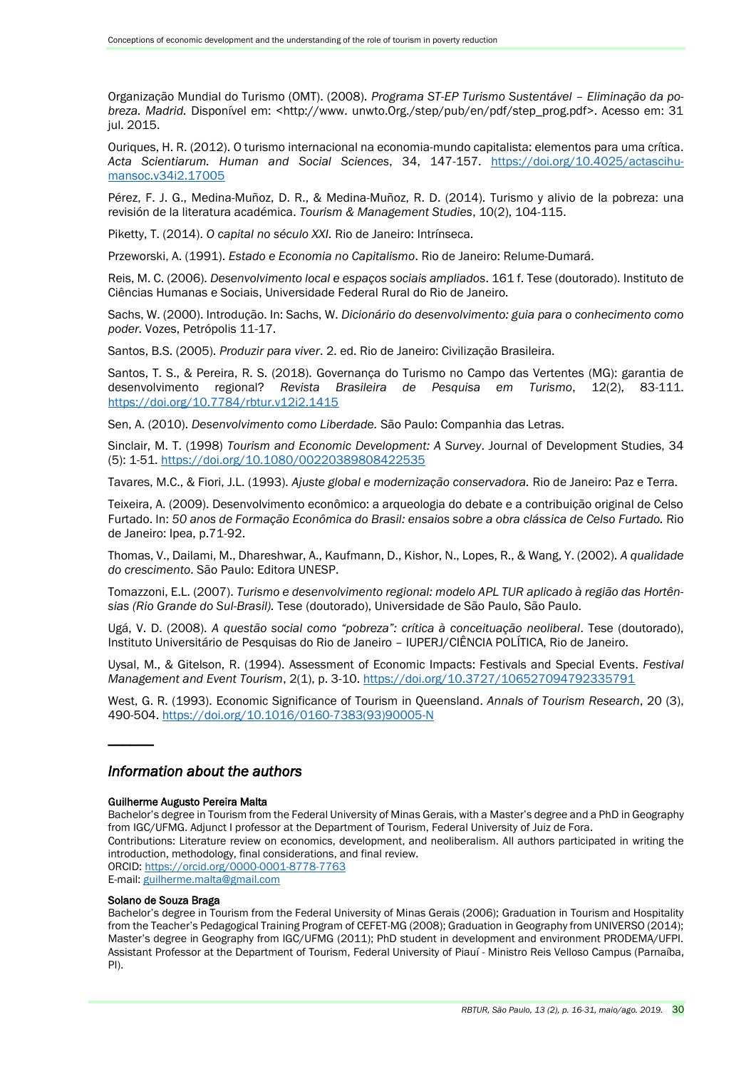Organização Mundial do Turismo (OMT). (2008). *Programa ST-EP Turismo Sustentável – Eliminação da pobreza. Madrid.* Disponível em: <http://www. unwto.Org./step/pub/en/pdf/step\_prog.pdf>. Acesso em: 31 jul. 2015.

Ouriques, H. R. (2012). O turismo internacional na economia-mundo capitalista: elementos para uma crítica. *Acta Scientiarum. Human and Social Sciences*, 34, 147-157. [https://doi.org/10.4025/actascihu](https://doi.org/10.4025/actascihumansoc.v34i2.17005)[mansoc.v34i2.17005](https://doi.org/10.4025/actascihumansoc.v34i2.17005)

Pérez, F. J. G., Medina-Muñoz, D. R., & Medina-Muñoz, R. D. (2014). Turismo y alivio de la pobreza: una revisión de la literatura académica. *Tourism & Management Studies*, 10(2), 104-115.

Piketty, T. (2014). *O capital no século XXI.* Rio de Janeiro: Intrínseca.

Przeworski, A. (1991). *Estado e Economia no Capitalismo*. Rio de Janeiro: Relume-Dumará.

Reis, M. C. (2006). *Desenvolvimento local e espaços sociais ampliados*. 161 f. Tese (doutorado). Instituto de Ciências Humanas e Sociais, Universidade Federal Rural do Rio de Janeiro.

Sachs, W. (2000). Introdução. In: Sachs, W. *Dicionário do desenvolvimento: guia para o conhecimento como poder.* Vozes, Petrópolis 11-17.

Santos, B.S. (2005). *Produzir para viver*. 2. ed. Rio de Janeiro: Civilização Brasileira.

Santos, T. S., & Pereira, R. S. (2018). Governança do Turismo no Campo das Vertentes (MG): garantia de desenvolvimento regional? *Revista Brasileira de Pesquisa em Turismo*, 12(2), 83-111. <https://doi.org/10.7784/rbtur.v12i2.1415>

Sen, A. (2010). *Desenvolvimento como Liberdade.* São Paulo: Companhia das Letras.

Sinclair, M. T. (1998) *Tourism and Economic Development: A Survey*. Journal of Development Studies, 34 (5): 1-51.<https://doi.org/10.1080/00220389808422535>

Tavares, M.C., & Fiori, J.L. (1993). *Ajuste global e modernização conservadora.* Rio de Janeiro: Paz e Terra.

Teixeira, A. (2009). Desenvolvimento econômico: a arqueologia do debate e a contribuição original de Celso Furtado. In: *50 anos de Formação Econômica do Brasil: ensaios sobre a obra clássica de Celso Furtado.* Rio de Janeiro: Ipea, p.71-92.

Thomas, V., Dailami, M., Dhareshwar, A., Kaufmann, D., Kishor, N., Lopes, R., & Wang, Y. (2002). *A qualidade do crescimento*. São Paulo: Editora UNESP.

Tomazzoni, E.L. (2007). *Turismo e desenvolvimento regional: modelo APL TUR aplicado à região das Hortênsias (Rio Grande do Sul-Brasil).* Tese (doutorado), Universidade de São Paulo, São Paulo.

Ugá, V. D. (2008). *A questão social como "pobreza": crítica à conceituação neoliberal*. Tese (doutorado), Instituto Universitário de Pesquisas do Rio de Janeiro – IUPERJ/CIÊNCIA POLÍTICA, Rio de Janeiro.

Uysal, M., & Gitelson, R. (1994). Assessment of Economic Impacts: Festivals and Special Events. *Festival Management and Event Tourism*, 2(1), p. 3-10. <https://doi.org/10.3727/106527094792335791>

West, G. R. (1993). Economic Significance of Tourism in Queensland. *Annals of Tourism Research*, 20 (3), 490-504. [https://doi.org/10.1016/0160-7383\(93\)90005-N](https://doi.org/10.1016/0160-7383(93)90005-N)

## *Information about the authors*

#### Guilherme Augusto Pereira Malta

Bachelor's degree in Tourism from the Federal University of Minas Gerais, with a Master's degree and a PhD in Geography from IGC/UFMG. Adjunct I professor at the Department of Tourism, Federal University of Juiz de Fora. Contributions: Literature review on economics, development, and neoliberalism. All authors participated in writing the introduction, methodology, final considerations, and final review. ORCID:<https://orcid.org/0000-0001-8778-7763> E-mail: [guilherme.malta@gmail.com](mailto:guilherme.malta@gmail.com)

#### Solano de Souza Braga

 $\overline{\phantom{a}}$ 

Bachelor's degree in Tourism from the Federal University of Minas Gerais (2006); Graduation in Tourism and Hospitality from the Teacher's Pedagogical Training Program of CEFET-MG (2008); Graduation in Geography from UNIVERSO (2014); Master's degree in Geography from IGC/UFMG (2011); PhD student in development and environment PRODEMA/UFPI. Assistant Professor at the Department of Tourism, Federal University of Piauí - Ministro Reis Velloso Campus (Parnaíba, PI).